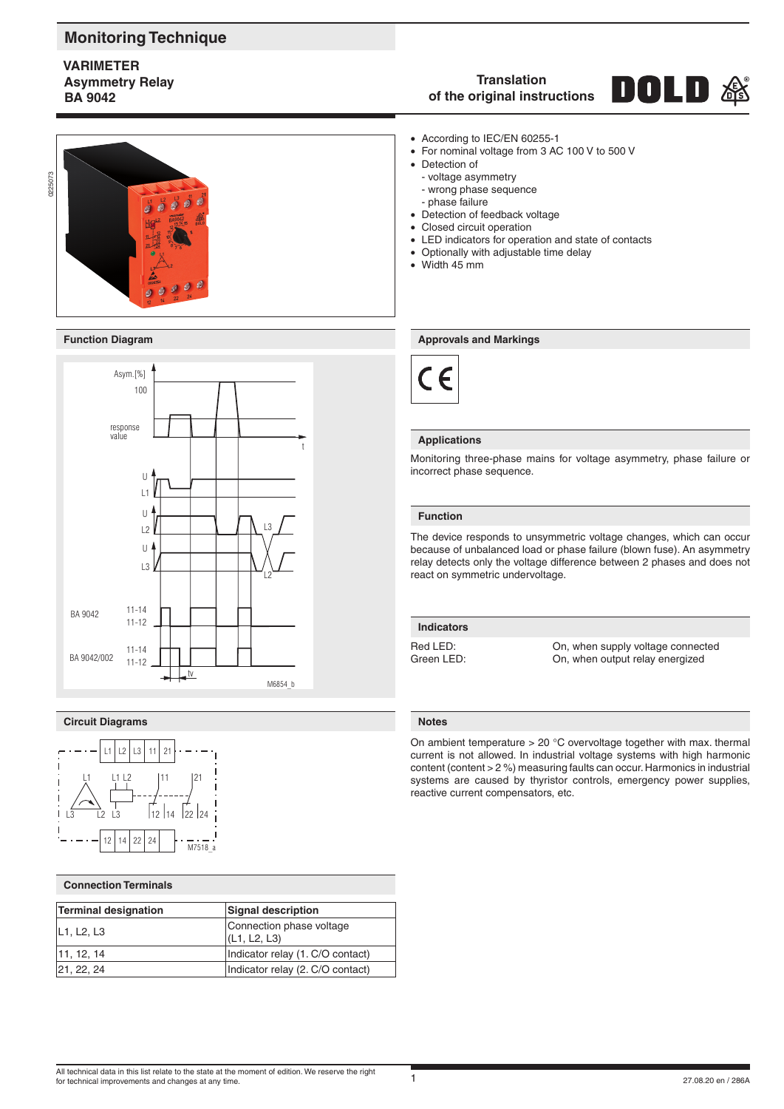# **Monitoring Technique**

## **VARIMETER Asymmetry Relay BA 9042**





### **Circuit Diagrams Notes**



### **Connection Terminals**

| Terminal designation | <b>Signal description</b>                |  |  |
|----------------------|------------------------------------------|--|--|
| L1, L2, L3           | Connection phase voltage<br>(L1, L2, L3) |  |  |
| 11, 12, 14           | Indicator relay (1. C/O contact)         |  |  |
| 21, 22, 24           | Indicator relay (2. C/O contact)         |  |  |

#### **Translation** DOLD **of the original instructions**

- According to IEC/EN 60255-1
- For nominal voltage from 3 AC 100 V to 500 V
- Detection of
	- voltage asymmetry - wrong phase sequence
	- phase failure
- Detection of feedback voltage
- Closed circuit operation
- LED indicators for operation and state of contacts
- Optionally with adjustable time delay
- Width 45 mm

#### **Function Diagram Approvals and Markings Approvals and Markings**



#### **Applications**

Monitoring three-phase mains for voltage asymmetry, phase failure or incorrect phase sequence.

#### **Function**

The device responds to unsymmetric voltage changes, which can occur because of unbalanced load or phase failure (blown fuse). An asymmetry relay detects only the voltage difference between 2 phases and does not react on symmetric undervoltage.

## **Indicators**

Red LED: Con, when supply voltage connected<br>
Green I FD: Con, when output relay energized On, when output relay energized

On ambient temperature  $> 20$  °C overvoltage together with max. thermal current is not allowed. In industrial voltage systems with high harmonic content (content > 2 %) measuring faults can occur. Harmonics in industrial systems are caused by thyristor controls, emergency power supplies, reactive current compensators, etc.